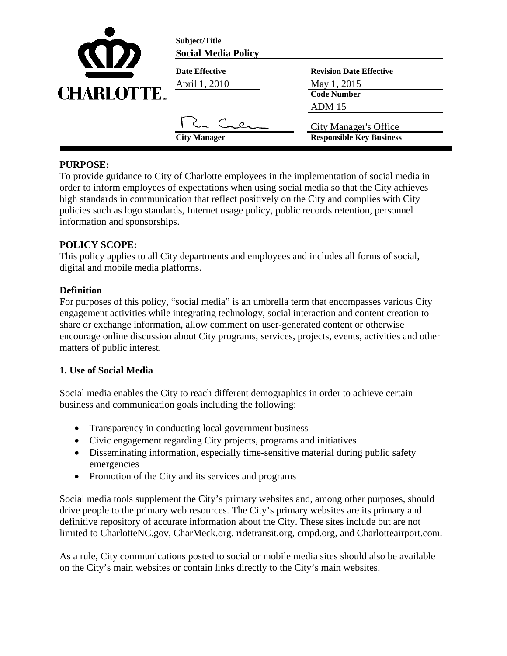| <b>KID</b>        | Subject/Title<br><b>Social Media Policy</b> |                                                                               |
|-------------------|---------------------------------------------|-------------------------------------------------------------------------------|
| <b>CHARLOTTE.</b> | <b>Date Effective</b><br>April 1, 2010      | <b>Revision Date Effective</b><br>May 1, 2015<br><b>Code Number</b><br>ADM 15 |
|                   | <b>City Manager</b>                         | <b>City Manager's Office</b><br><b>Responsible Key Business</b>               |

## **PURPOSE:**

To provide guidance to City of Charlotte employees in the implementation of social media in order to inform employees of expectations when using social media so that the City achieves high standards in communication that reflect positively on the City and complies with City policies such as logo standards, Internet usage policy, public records retention, personnel information and sponsorships.

## **POLICY SCOPE:**

This policy applies to all City departments and employees and includes all forms of social, digital and mobile media platforms.

#### **Definition**

For purposes of this policy, "social media" is an umbrella term that encompasses various City engagement activities while integrating technology, social interaction and content creation to share or exchange information, allow comment on user-generated content or otherwise encourage online discussion about City programs, services, projects, events, activities and other matters of public interest.

#### **1. Use of Social Media**

Social media enables the City to reach different demographics in order to achieve certain business and communication goals including the following:

- Transparency in conducting local government business
- Civic engagement regarding City projects, programs and initiatives
- Disseminating information, especially time-sensitive material during public safety emergencies
- Promotion of the City and its services and programs

Social media tools supplement the City's primary websites and, among other purposes, should drive people to the primary web resources. The City's primary websites are its primary and definitive repository of accurate information about the City. These sites include but are not limited to CharlotteNC.gov, CharMeck.org. ridetransit.org, cmpd.org, and Charlotteairport.com.

As a rule, City communications posted to social or mobile media sites should also be available on the City's main websites or contain links directly to the City's main websites.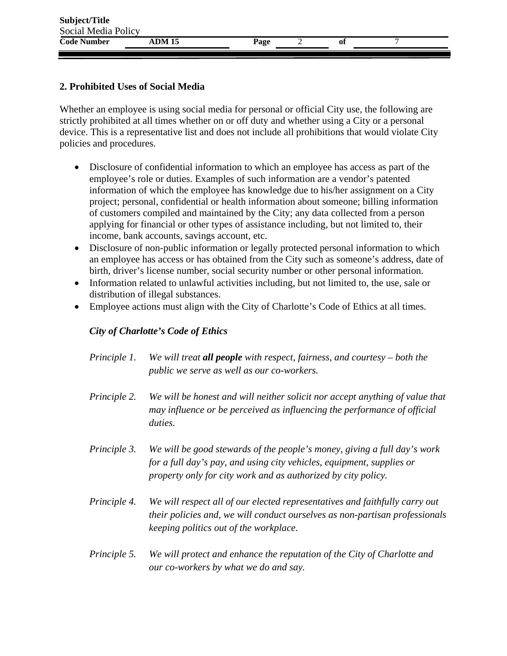| Subject/Title       |        |      |    |  |
|---------------------|--------|------|----|--|
| Social Media Policy |        |      |    |  |
| <b>Code Number</b>  | ADM 15 | Page | Oİ |  |

### **2. Prohibited Uses of Social Media**

Whether an employee is using social media for personal or official City use, the following are strictly prohibited at all times whether on or off duty and whether using a City or a personal device. This is a representative list and does not include all prohibitions that would violate City policies and procedures.

- Disclosure of confidential information to which an employee has access as part of the employee's role or duties. Examples of such information are a vendor's patented information of which the employee has knowledge due to his/her assignment on a City project; personal, confidential or health information about someone; billing information of customers compiled and maintained by the City; any data collected from a person applying for financial or other types of assistance including, but not limited to, their income, bank accounts, savings account, etc.
- Disclosure of non-public information or legally protected personal information to which an employee has access or has obtained from the City such as someone's address, date of birth, driver's license number, social security number or other personal information.
- Information related to unlawful activities including, but not limited to, the use, sale or distribution of illegal substances.
- Employee actions must align with the City of Charlotte's Code of Ethics at all times.

### *City of Charlotte's Code of Ethics*

- *Principle 1. We will treat all people with respect, fairness, and courtesy both the public we serve as well as our co-workers.*
- *Principle 2. We will be honest and will neither solicit nor accept anything of value that may influence or be perceived as influencing the performance of official duties.*
- *Principle 3. We will be good stewards of the people's money, giving a full day's work for a full day's pay, and using city vehicles, equipment, supplies or property only for city work and as authorized by city policy.*
- *Principle 4. We will respect all of our elected representatives and faithfully carry out their policies and, we will conduct ourselves as non-partisan professionals keeping politics out of the workplace.*
- *Principle 5. We will protect and enhance the reputation of the City of Charlotte and our co-workers by what we do and say.*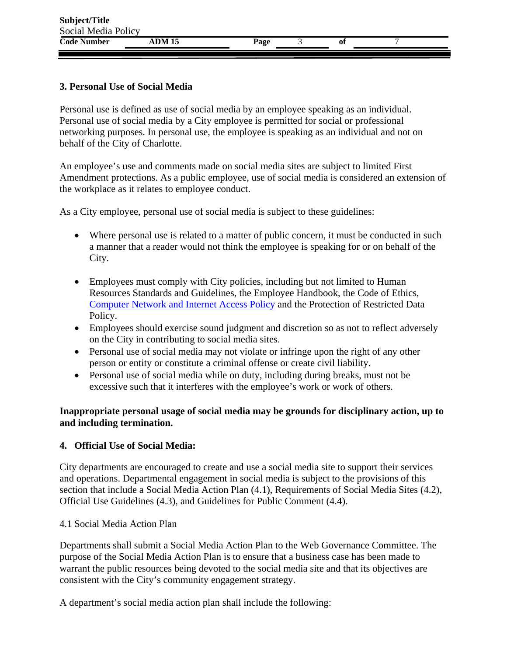### **3. Personal Use of Social Media**

Personal use is defined as use of social media by an employee speaking as an individual. Personal use of social media by a City employee is permitted for social or professional networking purposes. In personal use, the employee is speaking as an individual and not on behalf of the City of Charlotte.

An employee's use and comments made on social media sites are subject to limited First Amendment protections. As a public employee, use of social media is considered an extension of the workplace as it relates to employee conduct.

As a City employee, personal use of social media is subject to these guidelines:

- Where personal use is related to a matter of public concern, it must be conducted in such a manner that a reader would not think the employee is speaking for or on behalf of the City.
- Employees must comply with City policies, including but not limited to Human Resources Standards and Guidelines, the Employee Handbook, the Code of Ethics, Computer Network and Internet Access Policy and the Protection of Restricted Data Policy.
- Employees should exercise sound judgment and discretion so as not to reflect adversely on the City in contributing to social media sites.
- Personal use of social media may not violate or infringe upon the right of any other person or entity or constitute a criminal offense or create civil liability.
- Personal use of social media while on duty, including during breaks, must not be excessive such that it interferes with the employee's work or work of others.

#### **Inappropriate personal usage of social media may be grounds for disciplinary action, up to and including termination.**

#### **4. Official Use of Social Media:**

City departments are encouraged to create and use a social media site to support their services and operations. Departmental engagement in social media is subject to the provisions of this section that include a Social Media Action Plan (4.1), Requirements of Social Media Sites (4.2), Official Use Guidelines (4.3), and Guidelines for Public Comment (4.4).

#### 4.1 Social Media Action Plan

Departments shall submit a Social Media Action Plan to the Web Governance Committee. The purpose of the Social Media Action Plan is to ensure that a business case has been made to warrant the public resources being devoted to the social media site and that its objectives are consistent with the City's community engagement strategy.

A department's social media action plan shall include the following: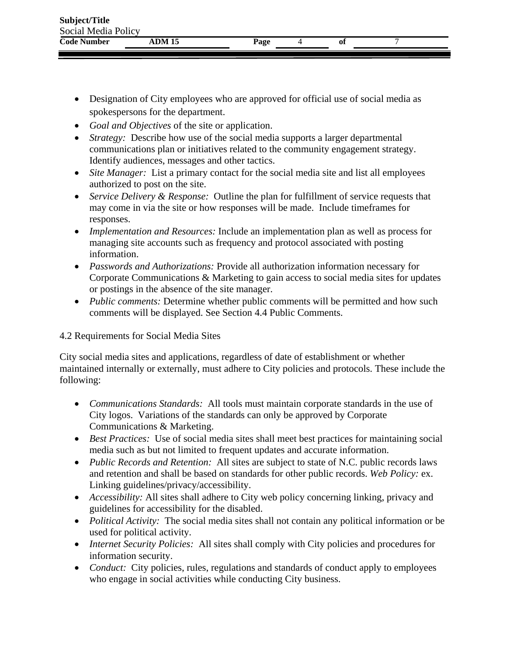| Social Media Policy<br>ADM 15<br>Page<br>Oİ | Subject/Title |  |  |  |
|---------------------------------------------|---------------|--|--|--|
| <b>Code Number</b>                          |               |  |  |  |
|                                             |               |  |  |  |

- Designation of City employees who are approved for official use of social media as spokespersons for the department.
- *Goal and Objectives* of the site or application.
- *Strategy:* Describe how use of the social media supports a larger departmental communications plan or initiatives related to the community engagement strategy. Identify audiences, messages and other tactics.
- *Site Manager:* List a primary contact for the social media site and list all employees authorized to post on the site.
- *Service Delivery & Response:* Outline the plan for fulfillment of service requests that may come in via the site or how responses will be made. Include timeframes for responses.
- *Implementation and Resources:* Include an implementation plan as well as process for managing site accounts such as frequency and protocol associated with posting information.
- *Passwords and Authorizations:* Provide all authorization information necessary for Corporate Communications & Marketing to gain access to social media sites for updates or postings in the absence of the site manager.
- *Public comments:* Determine whether public comments will be permitted and how such comments will be displayed. See Section 4.4 Public Comments.

#### 4.2 Requirements for Social Media Sites

City social media sites and applications, regardless of date of establishment or whether maintained internally or externally, must adhere to City policies and protocols. These include the following:

- *Communications Standards:* All tools must maintain corporate standards in the use of City logos. Variations of the standards can only be approved by Corporate Communications & Marketing.
- *Best Practices:* Use of social media sites shall meet best practices for maintaining social media such as but not limited to frequent updates and accurate information.
- *Public Records and Retention:* All sites are subject to state of N.C. public records laws and retention and shall be based on standards for other public records. *Web Policy:* ex. Linking guidelines/privacy/accessibility.
- *Accessibility:* All sites shall adhere to City web policy concerning linking, privacy and guidelines for accessibility for the disabled.
- *Political Activity:* The social media sites shall not contain any political information or be used for political activity.
- *Internet Security Policies:* All sites shall comply with City policies and procedures for information security.
- *Conduct:* City policies, rules, regulations and standards of conduct apply to employees who engage in social activities while conducting City business.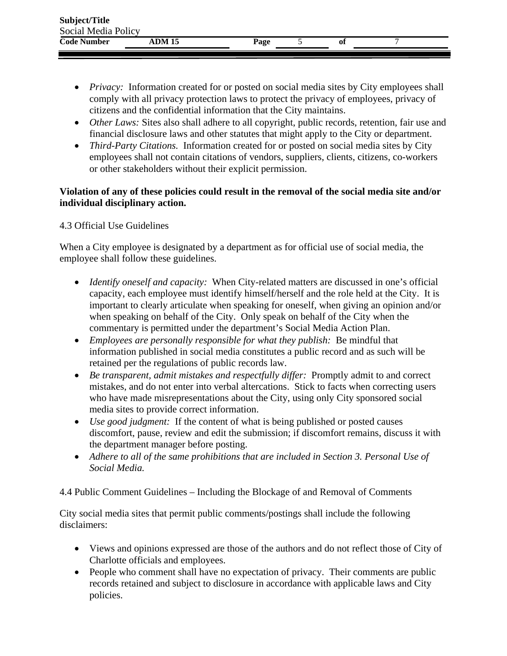| Subject/Title       |               |      |    |  |
|---------------------|---------------|------|----|--|
| Social Media Policy |               |      |    |  |
| <b>Code Number</b>  | <b>ADM 15</b> | Page | 01 |  |

- *Privacy:* Information created for or posted on social media sites by City employees shall comply with all privacy protection laws to protect the privacy of employees, privacy of citizens and the confidential information that the City maintains.
- *Other Laws:* Sites also shall adhere to all copyright, public records, retention, fair use and financial disclosure laws and other statutes that might apply to the City or department.
- *Third-Party Citations.* Information created for or posted on social media sites by City employees shall not contain citations of vendors, suppliers, clients, citizens, co-workers or other stakeholders without their explicit permission.

#### **Violation of any of these policies could result in the removal of the social media site and/or individual disciplinary action.**

## 4.3 Official Use Guidelines

When a City employee is designated by a department as for official use of social media, the employee shall follow these guidelines.

- *Identify oneself and capacity:* When City-related matters are discussed in one's official capacity, each employee must identify himself/herself and the role held at the City. It is important to clearly articulate when speaking for oneself, when giving an opinion and/or when speaking on behalf of the City. Only speak on behalf of the City when the commentary is permitted under the department's Social Media Action Plan.
- *Employees are personally responsible for what they publish:* Be mindful that information published in social media constitutes a public record and as such will be retained per the regulations of public records law.
- *Be transparent, admit mistakes and respectfully differ:* Promptly admit to and correct mistakes, and do not enter into verbal altercations. Stick to facts when correcting users who have made misrepresentations about the City, using only City sponsored social media sites to provide correct information.
- *Use good judgment:* If the content of what is being published or posted causes discomfort, pause, review and edit the submission; if discomfort remains, discuss it with the department manager before posting.
- *Adhere to all of the same prohibitions that are included in Section 3. Personal Use of Social Media.*

4.4 Public Comment Guidelines – Including the Blockage of and Removal of Comments

City social media sites that permit public comments/postings shall include the following disclaimers:

- Views and opinions expressed are those of the authors and do not reflect those of City of Charlotte officials and employees.
- People who comment shall have no expectation of privacy. Their comments are public records retained and subject to disclosure in accordance with applicable laws and City policies.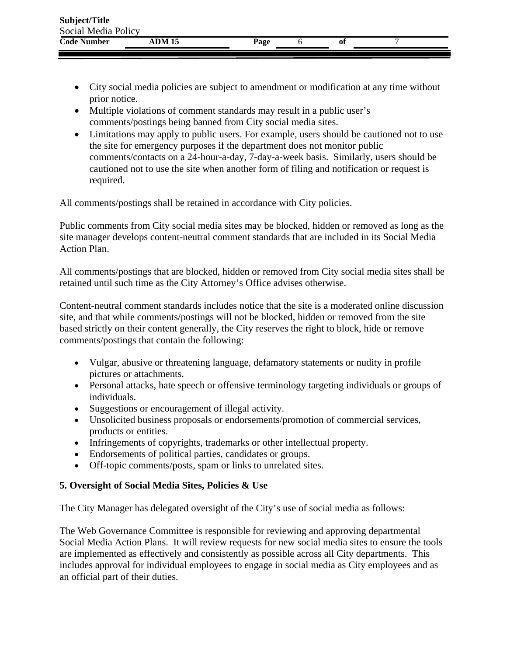| Subject/Title       |        |      |    |  |
|---------------------|--------|------|----|--|
| Social Media Policy |        |      |    |  |
| <b>Code Number</b>  | ADM 15 | Page | 01 |  |

- City social media policies are subject to amendment or modification at any time without prior notice.
- Multiple violations of comment standards may result in a public user's comments/postings being banned from City social media sites.
- Limitations may apply to public users. For example, users should be cautioned not to use the site for emergency purposes if the department does not monitor public comments/contacts on a 24-hour-a-day, 7-day-a-week basis. Similarly, users should be cautioned not to use the site when another form of filing and notification or request is required.

All comments/postings shall be retained in accordance with City policies.

Public comments from City social media sites may be blocked, hidden or removed as long as the site manager develops content-neutral comment standards that are included in its Social Media Action Plan.

All comments/postings that are blocked, hidden or removed from City social media sites shall be retained until such time as the City Attorney's Office advises otherwise.

Content-neutral comment standards includes notice that the site is a moderated online discussion site, and that while comments/postings will not be blocked, hidden or removed from the site based strictly on their content generally, the City reserves the right to block, hide or remove comments/postings that contain the following:

- Vulgar, abusive or threatening language, defamatory statements or nudity in profile pictures or attachments.
- Personal attacks, hate speech or offensive terminology targeting individuals or groups of individuals.
- Suggestions or encouragement of illegal activity.
- Unsolicited business proposals or endorsements/promotion of commercial services, products or entities.
- Infringements of copyrights, trademarks or other intellectual property.
- Endorsements of political parties, candidates or groups.
- Off-topic comments/posts, spam or links to unrelated sites.

# **5. Oversight of Social Media Sites, Policies & Use**

The City Manager has delegated oversight of the City's use of social media as follows:

The Web Governance Committee is responsible for reviewing and approving departmental Social Media Action Plans. It will review requests for new social media sites to ensure the tools are implemented as effectively and consistently as possible across all City departments. This includes approval for individual employees to engage in social media as City employees and as an official part of their duties.